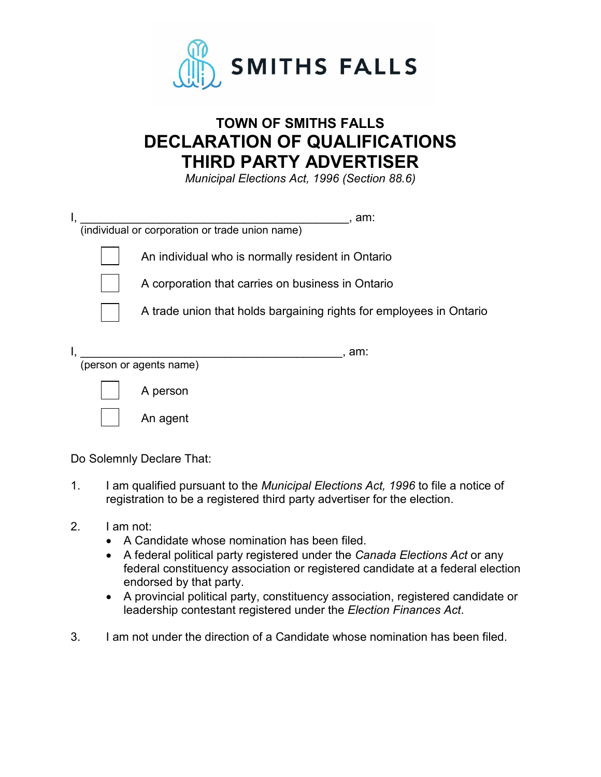

## **TOWN OF SMITHS FALLS DECLARATION OF QUALIFICATIONS THIRD PARTY ADVERTISER**

*Municipal Elections Act, 1996 (Section 88.6)*

| am:<br>(individual or corporation or trade union name)              |
|---------------------------------------------------------------------|
| An individual who is normally resident in Ontario                   |
| A corporation that carries on business in Ontario                   |
| A trade union that holds bargaining rights for employees in Ontario |
| . am:<br>(person or agents name)                                    |
| A person                                                            |
| An agent                                                            |

Do Solemnly Declare That:

- 1. I am qualified pursuant to the *Municipal Elections Act, 1996* to file a notice of registration to be a registered third party advertiser for the election.
- 2. I am not:
	- A Candidate whose nomination has been filed.
	- A federal political party registered under the *Canada Elections Act* or any federal constituency association or registered candidate at a federal election endorsed by that party.
	- A provincial political party, constituency association, registered candidate or leadership contestant registered under the *Election Finances Act*.
- 3. I am not under the direction of a Candidate whose nomination has been filed.